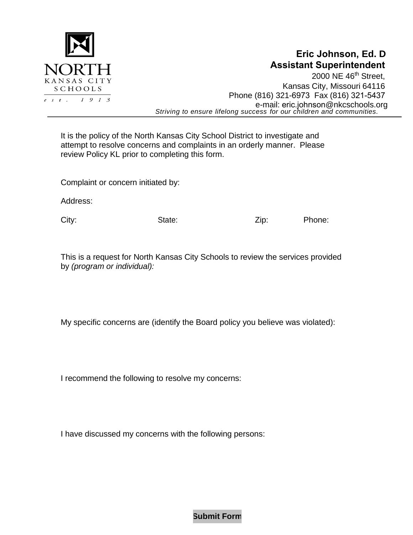

## **Eric Johnson, Ed. D Assistant Superintendent**

2000 NE 46<sup>th</sup> Street, Kansas City, Missouri 64116 Phone (816) 321-6973 Fax (816) 321-5437 e-mail: eric.johnson[@nkcschools.org](mailto:perry.hilvitz@nkcschools.org) *Striving to ensure lifelong success for our children and communities.*

It is the policy of the North Kansas City School District to investigate and attempt to resolve concerns and complaints in an orderly manner. Please review Policy KL prior to completing this form.

Complaint or concern initiated by:

Address:

City: City: City: State: State: Zip: Phone:

This is a request for North Kansas City Schools to review the services provided by *(program or individual):*

My specific concerns are (identify the Board policy you believe was violated):

I recommend the following to resolve my concerns:

I have discussed my concerns with the following persons:

**Submit Form**